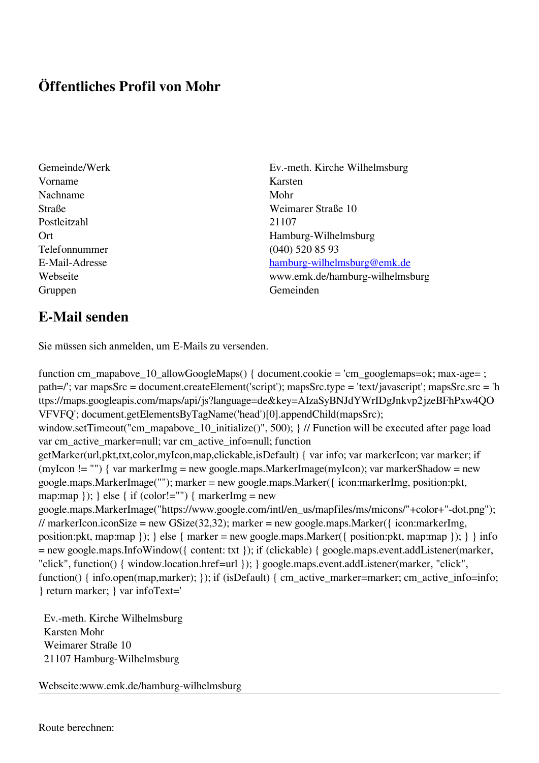## **Öffentliches Profil von Mohr**

- Vorname Karsten Nachname Mohr Postleitzahl 21107 Telefonnummer (040) 520 85 93 Gruppen Gemeinden Gemeinden Gemeinden Gemeinden Gemeinden Gemeinden Gemeinden Gemeinden Gemeinden Gemeinden G
- Gemeinde/Werk Ev.-meth. Kirche Wilhelmsburg Straße Weimarer Straße 10 Ort Hamburg-Wilhelmsburg E-Mail-Adresse [hamburg-wilhelmsburg@emk.de](mailto:hamburg-wilhelmsburg@emk.de) Webseite www.emk.de/hamburg-wilhelmsburg

## **E-Mail senden**

Sie müssen sich anmelden, um E-Mails zu versenden.

function cm\_mapabove\_10\_allowGoogleMaps() { document.cookie = 'cm\_googlemaps=ok; max-age= ; path=/'; var mapsSrc = document.createElement('script'); mapsSrc.type = 'text/javascript'; mapsSrc.src = 'h ttps://maps.googleapis.com/maps/api/js?language=de&key=AIzaSyBNJdYWrIDgJnkvp2jzeBFhPxw4QO VFVFQ'; document.getElementsByTagName('head')[0].appendChild(mapsSrc); window.setTimeout("cm\_mapabove\_10\_initialize()", 500); } // Function will be executed after page load var cm\_active\_marker=null; var cm\_active\_info=null; function getMarker(url,pkt,txt,color,myIcon,map,clickable,isDefault) { var info; var markerIcon; var marker; if (myIcon != "") { var markerImg = new google.maps.MarkerImage(myIcon); var markerShadow = new google.maps.MarkerImage(""); marker = new google.maps.Marker({ icon:markerImg, position:pkt, map:map  $\}$ ;  $\}$  else  $\{$  if (color!="")  $\{$  markerImg = new google.maps.MarkerImage("https://www.google.com/intl/en\_us/mapfiles/ms/micons/"+color+"-dot.png"); // markerIcon.iconSize = new GSize(32,32); marker = new google.maps.Marker({ $i$ con:markerImg, position:pkt, map:map }); } else { marker = new google.maps.Marker({ position:pkt, map:map }); } } info = new google.maps.InfoWindow({ content: txt }); if (clickable) { google.maps.event.addListener(marker, "click", function() { window.location.href=url }); } google.maps.event.addListener(marker, "click", function() { info.open(map,marker); }); if (isDefault) { cm\_active\_marker=marker; cm\_active\_info=info; } return marker; } var infoText='

 Ev.-meth. Kirche Wilhelmsburg Karsten Mohr Weimarer Straße 10 21107 Hamburg-Wilhelmsburg

Webseite:www.emk.de/hamburg-wilhelmsburg